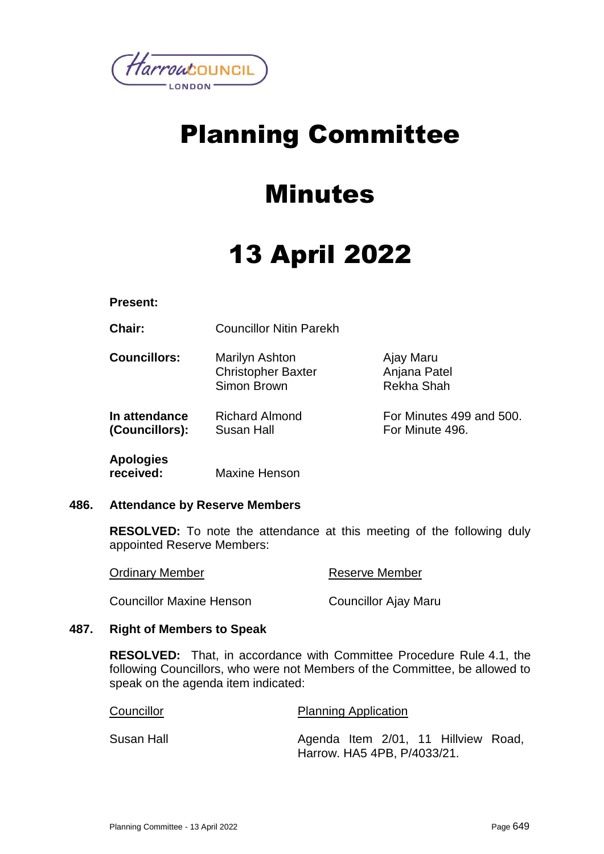

## Planning Committee

## Minutes

# 13 April 2022

**Present:**

**Chair:** Councillor Nitin Parekh

| <b>Councillors:</b> | Marilyn Ashton<br><b>Christopher Baxter</b><br>Simon Brown | Ajay Maru<br>Anjana Patel<br>Rekha Shah |
|---------------------|------------------------------------------------------------|-----------------------------------------|
| In attendance       | <b>Richard Almond</b>                                      | For Minutes 499 and 500.                |
| (Councillors):      | Susan Hall                                                 | For Minute 496.                         |

**Apologies received:** Maxine Henson

## **486. Attendance by Reserve Members**

**RESOLVED:** To note the attendance at this meeting of the following duly appointed Reserve Members:

| <b>Ordinary Member</b>          | Reserve Member       |
|---------------------------------|----------------------|
| <b>Councillor Maxine Henson</b> | Councillor Ajay Maru |

## **487. Right of Members to Speak**

**RESOLVED:** That, in accordance with Committee Procedure Rule 4.1, the following Councillors, who were not Members of the Committee, be allowed to speak on the agenda item indicated:

| Councillor | <b>Planning Application</b>         |  |  |  |
|------------|-------------------------------------|--|--|--|
| Susan Hall | Agenda Item 2/01, 11 Hillview Road, |  |  |  |
|            | Harrow. HA5 4PB, P/4033/21.         |  |  |  |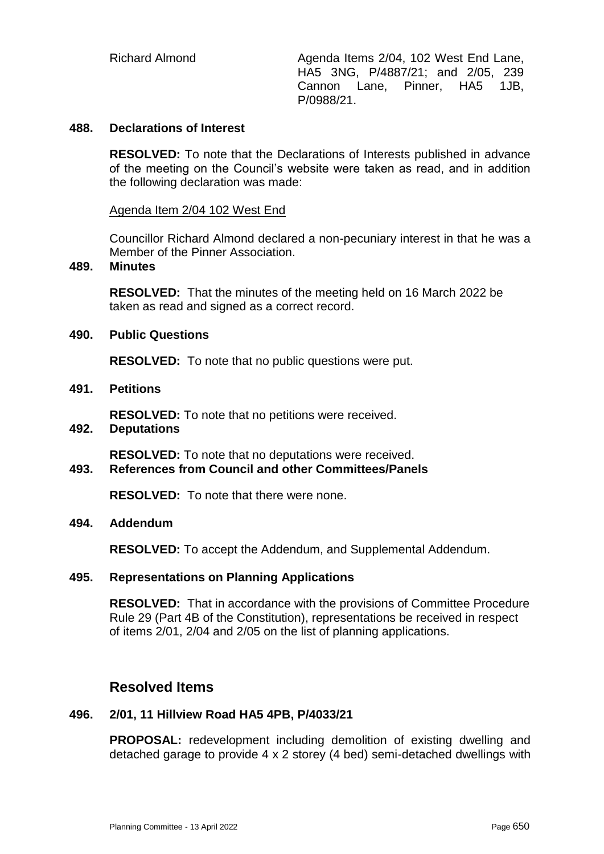Richard Almond **Agenda Items 2/04, 102 West End Lane,** HA5 3NG, P/4887/21; and 2/05, 239 Cannon Lane, Pinner, HA5 1JB, P/0988/21.

#### **488. Declarations of Interest**

**RESOLVED:** To note that the Declarations of Interests published in advance of the meeting on the Council's website were taken as read, and in addition the following declaration was made:

#### Agenda Item 2/04 102 West End

Councillor Richard Almond declared a non-pecuniary interest in that he was a Member of the Pinner Association.

#### **489. Minutes**

**RESOLVED:** That the minutes of the meeting held on 16 March 2022 be taken as read and signed as a correct record.

#### **490. Public Questions**

**RESOLVED:** To note that no public questions were put.

#### **491. Petitions**

**RESOLVED:** To note that no petitions were received.

#### **492. Deputations**

**RESOLVED:** To note that no deputations were received.

## **493. References from Council and other Committees/Panels**

**RESOLVED:** To note that there were none.

#### **494. Addendum**

**RESOLVED:** To accept the Addendum, and Supplemental Addendum.

#### **495. Representations on Planning Applications**

**RESOLVED:** That in accordance with the provisions of Committee Procedure Rule 29 (Part 4B of the Constitution), representations be received in respect of items 2/01, 2/04 and 2/05 on the list of planning applications.

## **Resolved Items**

#### **496. 2/01, 11 Hillview Road HA5 4PB, P/4033/21**

**PROPOSAL:** redevelopment including demolition of existing dwelling and detached garage to provide 4 x 2 storey (4 bed) semi-detached dwellings with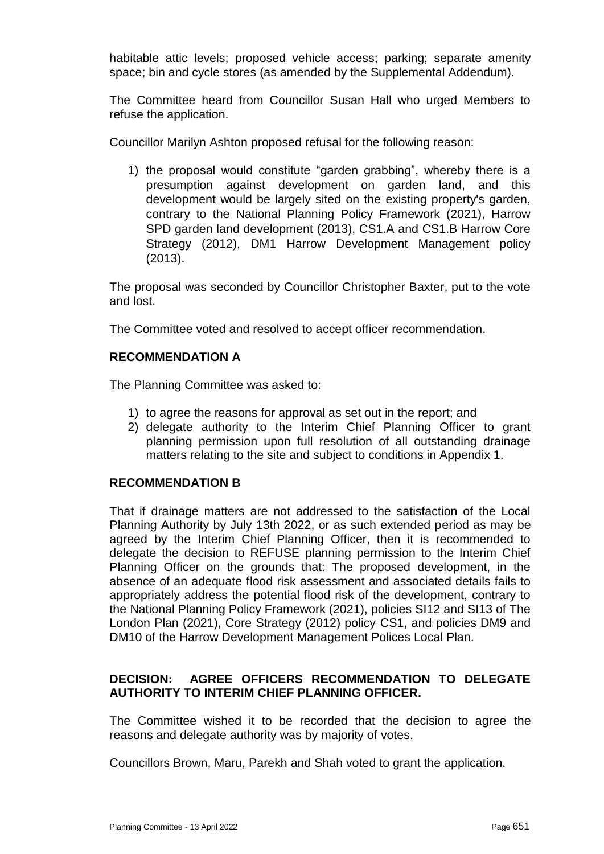habitable attic levels; proposed vehicle access; parking; separate amenity space; bin and cycle stores (as amended by the Supplemental Addendum).

The Committee heard from Councillor Susan Hall who urged Members to refuse the application.

Councillor Marilyn Ashton proposed refusal for the following reason:

1) the proposal would constitute "garden grabbing", whereby there is a presumption against development on garden land, and this development would be largely sited on the existing property's garden, contrary to the National Planning Policy Framework (2021), Harrow SPD garden land development (2013), CS1.A and CS1.B Harrow Core Strategy (2012), DM1 Harrow Development Management policy (2013).

The proposal was seconded by Councillor Christopher Baxter, put to the vote and lost.

The Committee voted and resolved to accept officer recommendation.

## **RECOMMENDATION A**

The Planning Committee was asked to:

- 1) to agree the reasons for approval as set out in the report; and
- 2) delegate authority to the Interim Chief Planning Officer to grant planning permission upon full resolution of all outstanding drainage matters relating to the site and subject to conditions in Appendix 1.

## **RECOMMENDATION B**

That if drainage matters are not addressed to the satisfaction of the Local Planning Authority by July 13th 2022, or as such extended period as may be agreed by the Interim Chief Planning Officer, then it is recommended to delegate the decision to REFUSE planning permission to the Interim Chief Planning Officer on the grounds that: The proposed development, in the absence of an adequate flood risk assessment and associated details fails to appropriately address the potential flood risk of the development, contrary to the National Planning Policy Framework (2021), policies SI12 and SI13 of The London Plan (2021), Core Strategy (2012) policy CS1, and policies DM9 and DM10 of the Harrow Development Management Polices Local Plan.

## **DECISION: AGREE OFFICERS RECOMMENDATION TO DELEGATE AUTHORITY TO INTERIM CHIEF PLANNING OFFICER.**

The Committee wished it to be recorded that the decision to agree the reasons and delegate authority was by majority of votes.

Councillors Brown, Maru, Parekh and Shah voted to grant the application.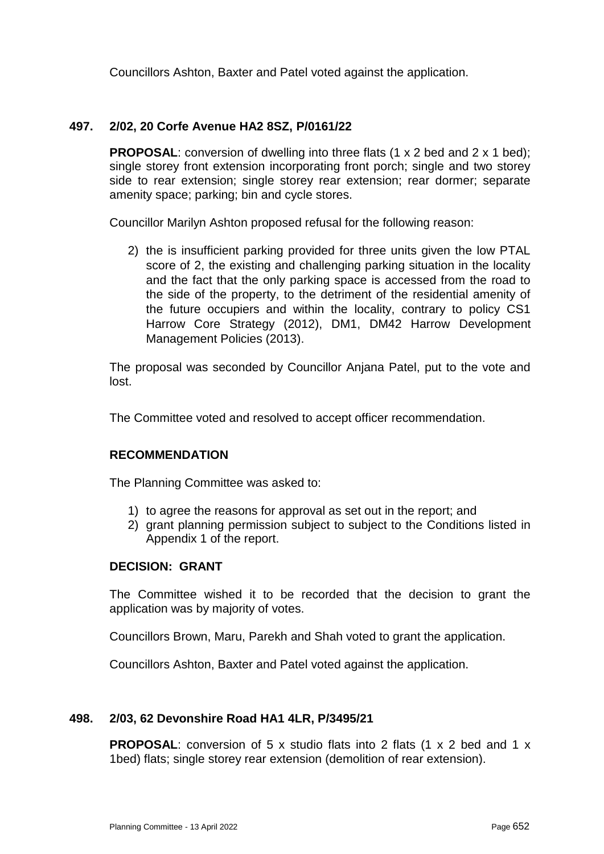Councillors Ashton, Baxter and Patel voted against the application.

## **497. 2/02, 20 Corfe Avenue HA2 8SZ, P/0161/22**

**PROPOSAL:** conversion of dwelling into three flats (1 x 2 bed and 2 x 1 bed); single storey front extension incorporating front porch; single and two storey side to rear extension; single storey rear extension; rear dormer; separate amenity space; parking; bin and cycle stores.

Councillor Marilyn Ashton proposed refusal for the following reason:

2) the is insufficient parking provided for three units given the low PTAL score of 2, the existing and challenging parking situation in the locality and the fact that the only parking space is accessed from the road to the side of the property, to the detriment of the residential amenity of the future occupiers and within the locality, contrary to policy CS1 Harrow Core Strategy (2012), DM1, DM42 Harrow Development Management Policies (2013).

The proposal was seconded by Councillor Anjana Patel, put to the vote and lost.

The Committee voted and resolved to accept officer recommendation.

## **RECOMMENDATION**

The Planning Committee was asked to:

- 1) to agree the reasons for approval as set out in the report; and
- 2) grant planning permission subject to subject to the Conditions listed in Appendix 1 of the report.

#### **DECISION: GRANT**

The Committee wished it to be recorded that the decision to grant the application was by majority of votes.

Councillors Brown, Maru, Parekh and Shah voted to grant the application.

Councillors Ashton, Baxter and Patel voted against the application.

#### **498. 2/03, 62 Devonshire Road HA1 4LR, P/3495/21**

**PROPOSAL:** conversion of 5 x studio flats into 2 flats (1 x 2 bed and 1 x 1bed) flats; single storey rear extension (demolition of rear extension).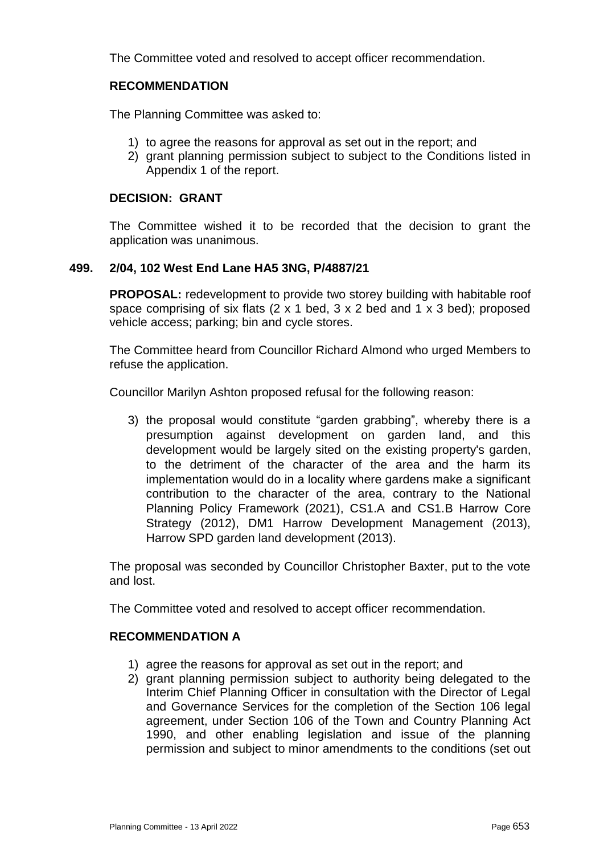The Committee voted and resolved to accept officer recommendation.

## **RECOMMENDATION**

The Planning Committee was asked to:

- 1) to agree the reasons for approval as set out in the report; and
- 2) grant planning permission subject to subject to the Conditions listed in Appendix 1 of the report.

## **DECISION: GRANT**

The Committee wished it to be recorded that the decision to grant the application was unanimous.

#### **499. 2/04, 102 West End Lane HA5 3NG, P/4887/21**

**PROPOSAL:** redevelopment to provide two storey building with habitable roof space comprising of six flats (2 x 1 bed, 3 x 2 bed and 1 x 3 bed); proposed vehicle access; parking; bin and cycle stores.

The Committee heard from Councillor Richard Almond who urged Members to refuse the application.

Councillor Marilyn Ashton proposed refusal for the following reason:

3) the proposal would constitute "garden grabbing", whereby there is a presumption against development on garden land, and this development would be largely sited on the existing property's garden, to the detriment of the character of the area and the harm its implementation would do in a locality where gardens make a significant contribution to the character of the area, contrary to the National Planning Policy Framework (2021), CS1.A and CS1.B Harrow Core Strategy (2012), DM1 Harrow Development Management (2013), Harrow SPD garden land development (2013).

The proposal was seconded by Councillor Christopher Baxter, put to the vote and lost.

The Committee voted and resolved to accept officer recommendation.

#### **RECOMMENDATION A**

- 1) agree the reasons for approval as set out in the report; and
- 2) grant planning permission subject to authority being delegated to the Interim Chief Planning Officer in consultation with the Director of Legal and Governance Services for the completion of the Section 106 legal agreement, under Section 106 of the Town and Country Planning Act 1990, and other enabling legislation and issue of the planning permission and subject to minor amendments to the conditions (set out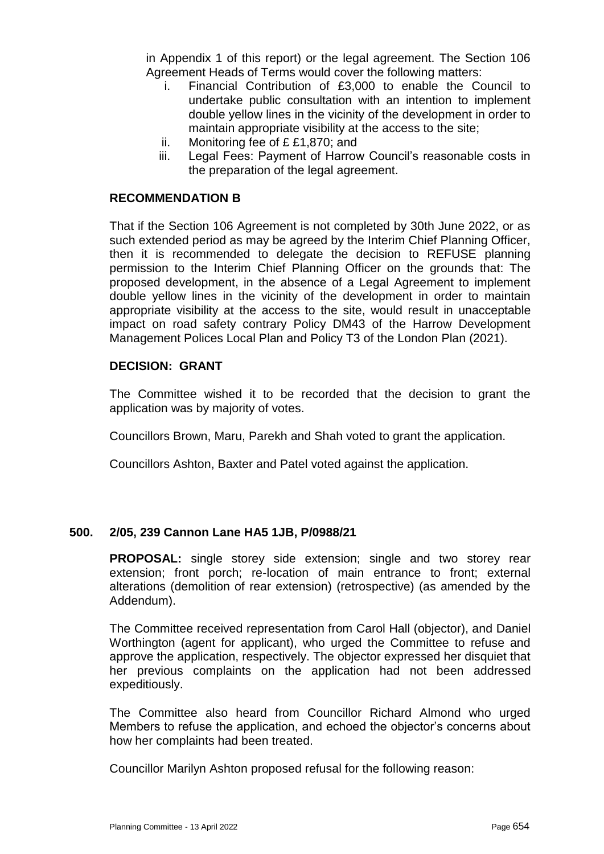in Appendix 1 of this report) or the legal agreement. The Section 106 Agreement Heads of Terms would cover the following matters:

- i. Financial Contribution of £3,000 to enable the Council to undertake public consultation with an intention to implement double yellow lines in the vicinity of the development in order to maintain appropriate visibility at the access to the site;
- ii. Monitoring fee of £ £1,870; and
- iii. Legal Fees: Payment of Harrow Council's reasonable costs in the preparation of the legal agreement.

#### **RECOMMENDATION B**

That if the Section 106 Agreement is not completed by 30th June 2022, or as such extended period as may be agreed by the Interim Chief Planning Officer, then it is recommended to delegate the decision to REFUSE planning permission to the Interim Chief Planning Officer on the grounds that: The proposed development, in the absence of a Legal Agreement to implement double yellow lines in the vicinity of the development in order to maintain appropriate visibility at the access to the site, would result in unacceptable impact on road safety contrary Policy DM43 of the Harrow Development Management Polices Local Plan and Policy T3 of the London Plan (2021).

#### **DECISION: GRANT**

The Committee wished it to be recorded that the decision to grant the application was by majority of votes.

Councillors Brown, Maru, Parekh and Shah voted to grant the application.

Councillors Ashton, Baxter and Patel voted against the application.

#### **500. 2/05, 239 Cannon Lane HA5 1JB, P/0988/21**

**PROPOSAL:** single storey side extension; single and two storey rear extension; front porch; re-location of main entrance to front; external alterations (demolition of rear extension) (retrospective) (as amended by the Addendum).

The Committee received representation from Carol Hall (objector), and Daniel Worthington (agent for applicant), who urged the Committee to refuse and approve the application, respectively. The objector expressed her disquiet that her previous complaints on the application had not been addressed expeditiously.

The Committee also heard from Councillor Richard Almond who urged Members to refuse the application, and echoed the objector's concerns about how her complaints had been treated.

Councillor Marilyn Ashton proposed refusal for the following reason: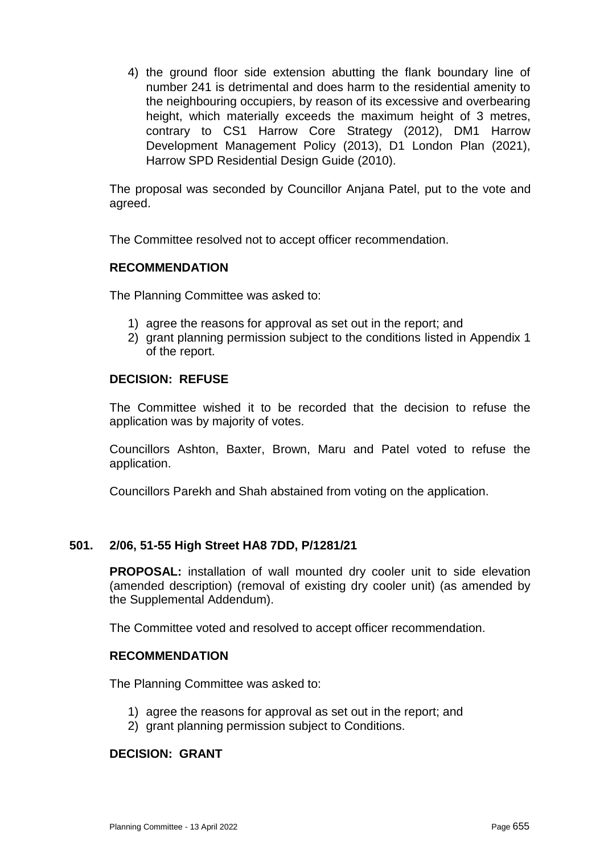4) the ground floor side extension abutting the flank boundary line of number 241 is detrimental and does harm to the residential amenity to the neighbouring occupiers, by reason of its excessive and overbearing height, which materially exceeds the maximum height of 3 metres, contrary to CS1 Harrow Core Strategy (2012), DM1 Harrow Development Management Policy (2013), D1 London Plan (2021), Harrow SPD Residential Design Guide (2010).

The proposal was seconded by Councillor Anjana Patel, put to the vote and agreed.

The Committee resolved not to accept officer recommendation.

#### **RECOMMENDATION**

The Planning Committee was asked to:

- 1) agree the reasons for approval as set out in the report; and
- 2) grant planning permission subject to the conditions listed in Appendix 1 of the report.

#### **DECISION: REFUSE**

The Committee wished it to be recorded that the decision to refuse the application was by majority of votes.

Councillors Ashton, Baxter, Brown, Maru and Patel voted to refuse the application.

Councillors Parekh and Shah abstained from voting on the application.

## **501. 2/06, 51-55 High Street HA8 7DD, P/1281/21**

**PROPOSAL:** installation of wall mounted dry cooler unit to side elevation (amended description) (removal of existing dry cooler unit) (as amended by the Supplemental Addendum).

The Committee voted and resolved to accept officer recommendation.

#### **RECOMMENDATION**

The Planning Committee was asked to:

- 1) agree the reasons for approval as set out in the report; and
- 2) grant planning permission subject to Conditions.

## **DECISION: GRANT**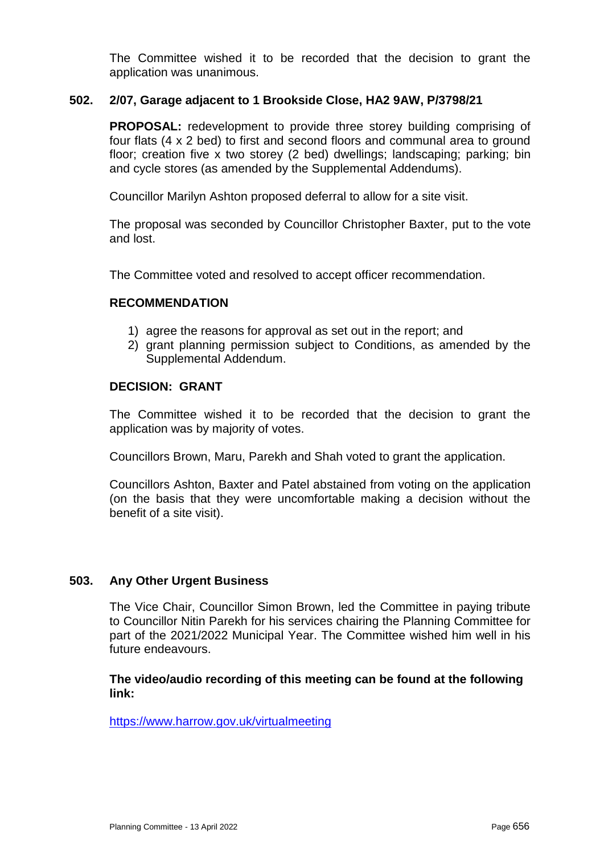The Committee wished it to be recorded that the decision to grant the application was unanimous.

#### **502. 2/07, Garage adjacent to 1 Brookside Close, HA2 9AW, P/3798/21**

**PROPOSAL:** redevelopment to provide three storey building comprising of four flats (4 x 2 bed) to first and second floors and communal area to ground floor; creation five x two storey (2 bed) dwellings; landscaping; parking; bin and cycle stores (as amended by the Supplemental Addendums).

Councillor Marilyn Ashton proposed deferral to allow for a site visit.

The proposal was seconded by Councillor Christopher Baxter, put to the vote and lost.

The Committee voted and resolved to accept officer recommendation.

#### **RECOMMENDATION**

- 1) agree the reasons for approval as set out in the report; and
- 2) grant planning permission subject to Conditions, as amended by the Supplemental Addendum.

#### **DECISION: GRANT**

The Committee wished it to be recorded that the decision to grant the application was by majority of votes.

Councillors Brown, Maru, Parekh and Shah voted to grant the application.

Councillors Ashton, Baxter and Patel abstained from voting on the application (on the basis that they were uncomfortable making a decision without the benefit of a site visit).

#### **503. Any Other Urgent Business**

The Vice Chair, Councillor Simon Brown, led the Committee in paying tribute to Councillor Nitin Parekh for his services chairing the Planning Committee for part of the 2021/2022 Municipal Year. The Committee wished him well in his future endeavours.

**The video/audio recording of this meeting can be found at the following link:** 

https://www.harrow.gov.uk/virtualmeeting